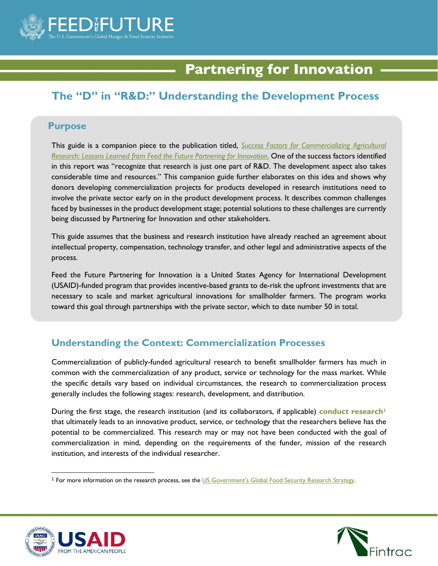

# **Partnering for Innovation**

## **The "D" in "R&D:" Understanding the Development Process**

#### **Purpose**

This guide is a companion piece to the publication titled, *[Success Factors for Commercializing Agricultural](http://www.partneringforinnovation.org/docs/FTF%20Partnering%20for%20Innovation_8%20Success%20Factors_Research.pdf)  [Research: Lessons Learned from Feed the Future Partnering for Innovation.](http://www.partneringforinnovation.org/docs/FTF%20Partnering%20for%20Innovation_8%20Success%20Factors_Research.pdf)* One of the success factors identified in this report was "recognize that research is just one part of R&D. The development aspect also takes considerable time and resources." This companion guide further elaborates on this idea and shows why donors developing commercialization projects for products developed in research institutions need to involve the private sector early on in the product development process. It describes common challenges faced by businesses in the product development stage; potential solutions to these challenges are currently being discussed by Partnering for Innovation and other stakeholders.

This guide assumes that the business and research institution have already reached an agreement about intellectual property, compensation, technology transfer, and other legal and administrative aspects of the process.

Feed the Future Partnering for Innovation is a United States Agency for International Development (USAID)-funded program that provides incentive-based grants to de-risk the upfront investments that are necessary to scale and market agricultural innovations for smallholder farmers. The program works toward this goal through partnerships with the private sector, which to date number 50 in total.

#### **Understanding the Context: Commercialization Processes**

Commercialization of publicly-funded agricultural research to benefit smallholder farmers has much in common with the commercialization of any product, service or technology for the mass market. While the specific details vary based on individual circumstances, the research to commercialization process generally includes the following stages: research, development, and distribution.

During the first stage, the research institution (and its collaborators, if applicable) **conduct research[1](#page-0-0)** that ultimately leads to an innovative product, service, or technology that the researchers believe has the potential to be commercialized. This research may or may not have been conducted with the goal of commercialization in mind, depending on the requirements of the funder, mission of the research institution, and interests of the individual researcher.



 $\overline{a}$ 



<span id="page-0-0"></span><sup>&</sup>lt;sup>1</sup> For more information on the research process, see th[e US Government's Global Food Security Research Strategy.](https://feedthefuture.gov/resource/us-governments-global-food-security-research-strategy)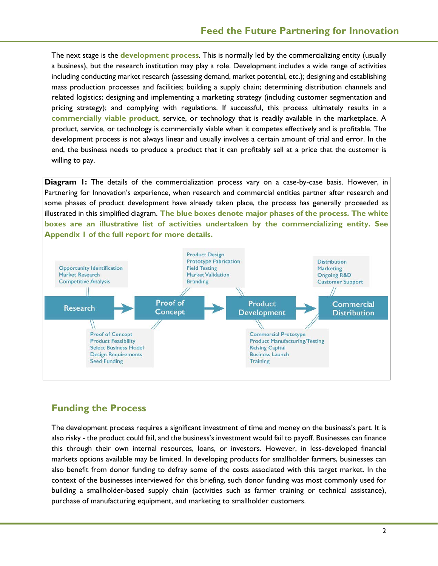The next stage is the **development process**. This is normally led by the commercializing entity (usually a business), but the research institution may play a role. Development includes a wide range of activities including conducting market research (assessing demand, market potential, etc.); designing and establishing mass production processes and facilities; building a supply chain; determining distribution channels and related logistics; designing and implementing a marketing strategy (including customer segmentation and pricing strategy); and complying with regulations. If successful, this process ultimately results in a **commercially viable product**, service, or technology that is readily available in the marketplace. A product, service, or technology is commercially viable when it competes effectively and is profitable. The development process is not always linear and usually involves a certain amount of trial and error. In the end, the business needs to produce a product that it can profitably sell at a price that the customer is willing to pay.

**Diagram 1:** The details of the commercialization process vary on a case-by-case basis. However, in Partnering for Innovation's experience, when research and commercial entities partner after research and some phases of product development have already taken place, the process has generally proceeded as illustrated in this simplified diagram. **The blue boxes denote major phases of the process. The white boxes are an illustrative list of activities undertaken by the commercializing entity. See Appendix 1 of the full report for more details.**



### **Funding the Process**

The development process requires a significant investment of time and money on the business's part. It is also risky - the product could fail, and the business's investment would fail to payoff. Businesses can finance this through their own internal resources, loans, or investors. However, in less-developed financial markets options available may be limited. In developing products for smallholder farmers, businesses can also benefit from donor funding to defray some of the costs associated with this target market. In the context of the businesses interviewed for this briefing, such donor funding was most commonly used for building a smallholder-based supply chain (activities such as farmer training or technical assistance), purchase of manufacturing equipment, and marketing to smallholder customers.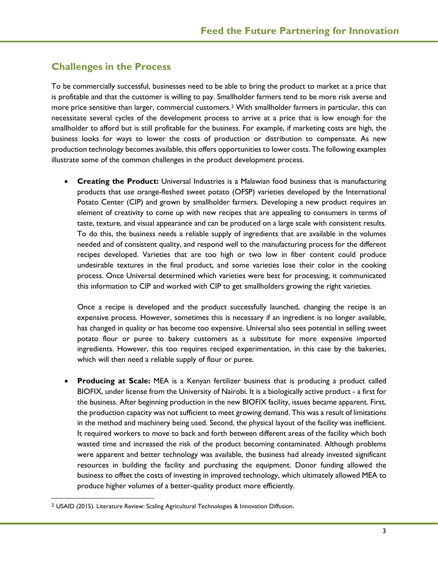#### **Challenges in the Process**

To be commercially successful, businesses need to be able to bring the product to market at a price that is profitable and that the customer is willing to pay. Smallholder farmers tend to be more risk averse and more price sensitive than larger, commercial customers.[2](#page-2-0) With smallholder farmers in particular, this can necessitate several cycles of the development process to arrive at a price that is low enough for the smallholder to afford but is still profitable for the business. For example, if marketing costs are high, the business looks for ways to lower the costs of production or distribution to compensate. As new production technology becomes available, this offers opportunities to lower costs. The following examples illustrate some of the common challenges in the product development process.

• **Creating the Product:** Universal Industries is a Malawian food business that is manufacturing products that use orange-fleshed sweet potato (OFSP) varieties developed by the International Potato Center (CIP) and grown by smallholder farmers. Developing a new product requires an element of creativity to come up with new recipes that are appealing to consumers in terms of taste, texture, and visual appearance and can be produced on a large scale with consistent results. To do this, the business needs a reliable supply of ingredients that are available in the volumes needed and of consistent quality, and respond well to the manufacturing process for the different recipes developed. Varieties that are too high or two low in fiber content could produce undesirable textures in the final product, and some varieties lose their color in the cooking process. Once Universal determined which varieties were best for processing, it communicated this information to CIP and worked with CIP to get smallholders growing the right varieties.

Once a recipe is developed and the product successfully launched, changing the recipe is an expensive process. However, sometimes this is necessary if an ingredient is no longer available, has changed in quality or has become too expensive. Universal also sees potential in selling sweet potato flour or puree to bakery customers as a substitute for more expensive imported ingredients. However, this too requires reciped experimentation, in this case by the bakeries, which will then need a reliable supply of flour or puree.

• **Producing at Scale:** MEA is a Kenyan fertilizer business that is producing a product called BIOFIX, under license from the University of Nairobi. It is a biologically active product - a first for the business. After beginning production in the new BIOFIX facility, issues became apparent. First, the production capacity was not sufficient to meet growing demand. This was a result of limitations in the method and machinery being used. Second, the physical layout of the facility was inefficient. It required workers to move to back and forth between different areas of the facility which both wasted time and increased the risk of the product becoming contaminated. Although problems were apparent and better technology was available, the business had already invested significant resources in building the facility and purchasing the equipment. Donor funding allowed the business to offset the costs of investing in improved technology, which ultimately allowed MEA to produce higher volumes of a better-quality product more efficiently.

l

<span id="page-2-0"></span><sup>2</sup> USAID (2015). Literature Review: Scaling Agricultural Technologies & Innovation Diffusion.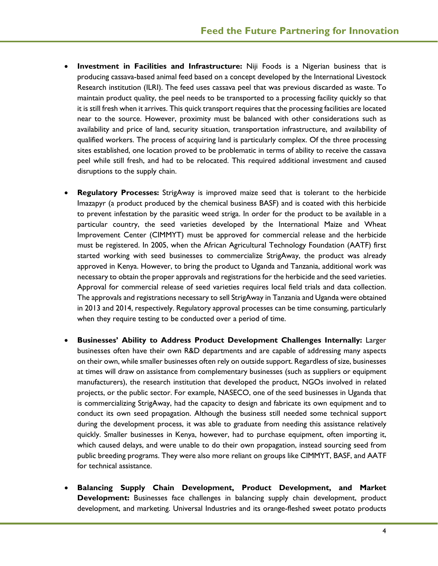- **Investment in Facilities and Infrastructure:** Niji Foods is a Nigerian business that is producing cassava-based animal feed based on a concept developed by the International Livestock Research institution (ILRI). The feed uses cassava peel that was previous discarded as waste. To maintain product quality, the peel needs to be transported to a processing facility quickly so that it is still fresh when it arrives. This quick transport requires that the processing facilities are located near to the source. However, proximity must be balanced with other considerations such as availability and price of land, security situation, transportation infrastructure, and availability of qualified workers. The process of acquiring land is particularly complex. Of the three processing sites established, one location proved to be problematic in terms of ability to receive the cassava peel while still fresh, and had to be relocated. This required additional investment and caused disruptions to the supply chain.
- **Regulatory Processes:** StrigAway is improved maize seed that is tolerant to the herbicide Imazapyr (a product produced by the chemical business BASF) and is coated with this herbicide to prevent infestation by the parasitic weed striga. In order for the product to be available in a particular country, the seed varieties developed by the International Maize and Wheat Improvement Center (CIMMYT) must be approved for commercial release and the herbicide must be registered. In 2005, when the African Agricultural Technology Foundation (AATF) first started working with seed businesses to commercialize StrigAway, the product was already approved in Kenya. However, to bring the product to Uganda and Tanzania, additional work was necessary to obtain the proper approvals and registrations for the herbicide and the seed varieties. Approval for commercial release of seed varieties requires local field trials and data collection. The approvals and registrations necessary to sell StrigAway in Tanzania and Uganda were obtained in 2013 and 2014, respectively. Regulatory approval processes can be time consuming, particularly when they require testing to be conducted over a period of time.
- **Businesses' Ability to Address Product Development Challenges Internally:** Larger businesses often have their own R&D departments and are capable of addressing many aspects on their own, while smaller businesses often rely on outside support. Regardless of size, businesses at times will draw on assistance from complementary businesses (such as suppliers or equipment manufacturers), the research institution that developed the product, NGOs involved in related projects, or the public sector. For example, NASECO, one of the seed businesses in Uganda that is commercializing StrigAway, had the capacity to design and fabricate its own equipment and to conduct its own seed propagation. Although the business still needed some technical support during the development process, it was able to graduate from needing this assistance relatively quickly. Smaller businesses in Kenya, however, had to purchase equipment, often importing it, which caused delays, and were unable to do their own propagation, instead sourcing seed from public breeding programs. They were also more reliant on groups like CIMMYT, BASF, and AATF for technical assistance.
- **Balancing Supply Chain Development, Product Development, and Market Development:** Businesses face challenges in balancing supply chain development, product development, and marketing. Universal Industries and its orange-fleshed sweet potato products